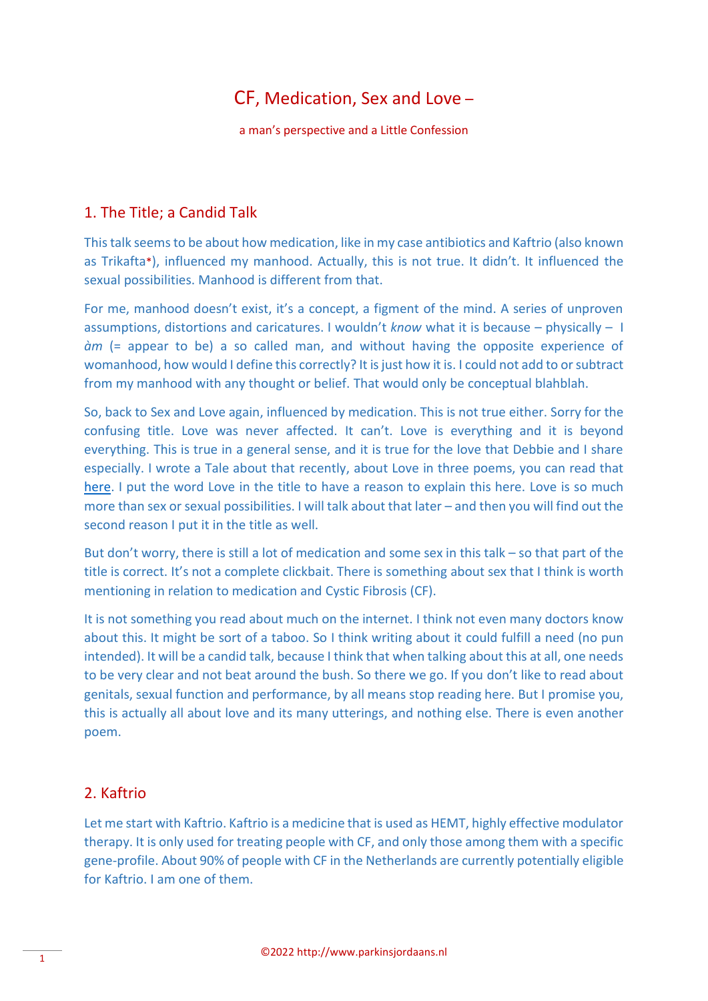## CF, Medication, Sex and Love –

a man's perspective and a Little Confession

## 1. The Title; a Candid Talk

This talk seemsto be about how medication, like in my case antibiotics and Kaftrio (also known as Trikafta\*), influenced my manhood. Actually, this is not true. It didn't. It influenced the sexual possibilities. Manhood is different from that.

For me, manhood doesn't exist, it's a concept, a figment of the mind. A series of unproven assumptions, distortions and caricatures. I wouldn't *know* what it is because – physically – I *àm* (= appear to be) a so called man, and without having the opposite experience of womanhood, how would I define this correctly? It is just how it is. I could not add to or subtract from my manhood with any thought or belief. That would only be conceptual blahblah.

So, back to Sex and Love again, influenced by medication. This is not true either. Sorry for the confusing title. Love was never affected. It can't. Love is everything and it is beyond everything. This is true in a general sense, and it is true for the love that Debbie and I share especially. I wrote a Tale about that recently, about Love in three poems, you can read that [here.](http://www.parkinsjordaans.nl/downloads/23_Intentions_A_tale_about_three_Love_Poems.pdf) I put the word Love in the title to have a reason to explain this here. Love is so much more than sex or sexual possibilities. I will talk about that later – and then you will find out the second reason I put it in the title as well.

But don't worry, there is still a lot of medication and some sex in this talk – so that part of the title is correct. It's not a complete clickbait. There is something about sex that I think is worth mentioning in relation to medication and Cystic Fibrosis (CF).

It is not something you read about much on the internet. I think not even many doctors know about this. It might be sort of a taboo. So I think writing about it could fulfill a need (no pun intended). It will be a candid talk, because I think that when talking about this at all, one needs to be very clear and not beat around the bush. So there we go. If you don't like to read about genitals, sexual function and performance, by all means stop reading here. But I promise you, this is actually all about love and its many utterings, and nothing else. There is even another poem.

## 2. Kaftrio

Let me start with Kaftrio. Kaftrio is a medicine that is used as HEMT, highly effective modulator therapy. It is only used for treating people with CF, and only those among them with a specific gene-profile. About 90% of people with CF in the Netherlands are currently potentially eligible for Kaftrio. I am one of them.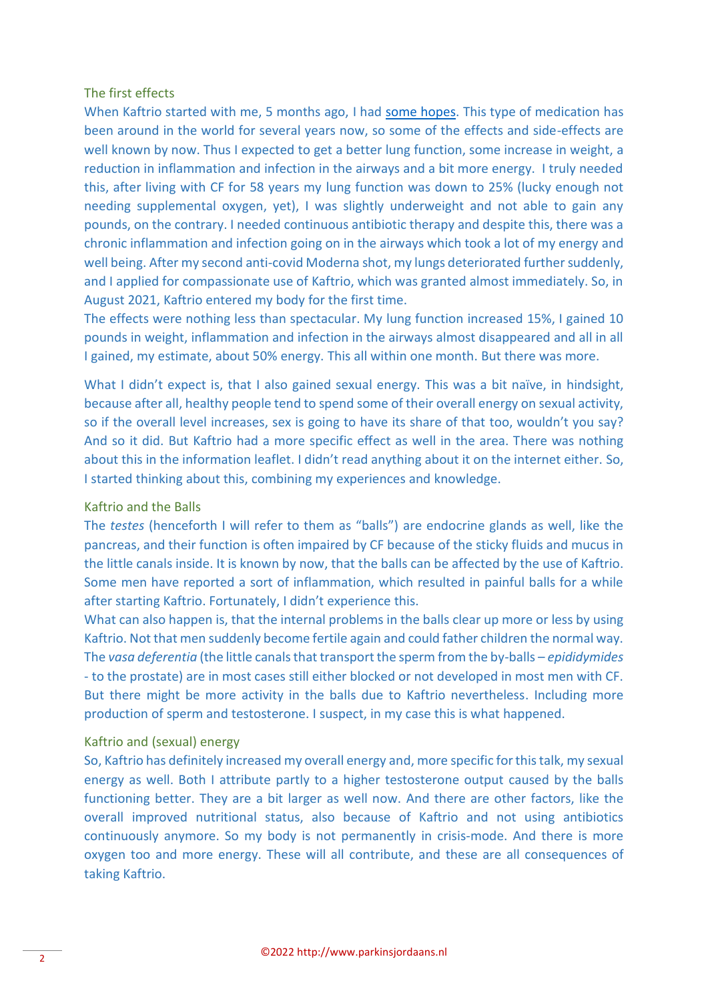#### The first effects

When Kaftrio started with me, 5 months ago, I had [some hopes.](https://cysticfibrosisnewstoday.com/forums/forums/topic/sunday-morning-21/) This type of medication has been around in the world for several years now, so some of the effects and side-effects are well known by now. Thus I expected to get a better lung function, some increase in weight, a reduction in inflammation and infection in the airways and a bit more energy. I truly needed this, after living with CF for 58 years my lung function was down to 25% (lucky enough not needing supplemental oxygen, yet), I was slightly underweight and not able to gain any pounds, on the contrary. I needed continuous antibiotic therapy and despite this, there was a chronic inflammation and infection going on in the airways which took a lot of my energy and well being. After my second anti-covid Moderna shot, my lungs deteriorated further suddenly, and I applied for compassionate use of Kaftrio, which was granted almost immediately. So, in August 2021, Kaftrio entered my body for the first time.

The effects were nothing less than spectacular. My lung function increased 15%, I gained 10 pounds in weight, inflammation and infection in the airways almost disappeared and all in all I gained, my estimate, about 50% energy. This all within one month. But there was more.

What I didn't expect is, that I also gained sexual energy. This was a bit naïve, in hindsight, because after all, healthy people tend to spend some of their overall energy on sexual activity, so if the overall level increases, sex is going to have its share of that too, wouldn't you say? And so it did. But Kaftrio had a more specific effect as well in the area. There was nothing about this in the information leaflet. I didn't read anything about it on the internet either. So, I started thinking about this, combining my experiences and knowledge.

#### Kaftrio and the Balls

The *testes* (henceforth I will refer to them as "balls") are endocrine glands as well, like the pancreas, and their function is often impaired by CF because of the sticky fluids and mucus in the little canals inside. It is known by now, that the balls can be affected by the use of Kaftrio. Some men have reported a sort of inflammation, which resulted in painful balls for a while after starting Kaftrio. Fortunately, I didn't experience this.

What can also happen is, that the internal problems in the balls clear up more or less by using Kaftrio. Not that men suddenly become fertile again and could father children the normal way. The *vasa deferentia* (the little canals that transport the sperm from the by-balls – *epididymides* - to the prostate) are in most cases still either blocked or not developed in most men with CF. But there might be more activity in the balls due to Kaftrio nevertheless. Including more production of sperm and testosterone. I suspect, in my case this is what happened.

#### Kaftrio and (sexual) energy

So, Kaftrio has definitely increased my overall energy and, more specific for this talk, my sexual energy as well. Both I attribute partly to a higher testosterone output caused by the balls functioning better. They are a bit larger as well now. And there are other factors, like the overall improved nutritional status, also because of Kaftrio and not using antibiotics continuously anymore. So my body is not permanently in crisis-mode. And there is more oxygen too and more energy. These will all contribute, and these are all consequences of taking Kaftrio.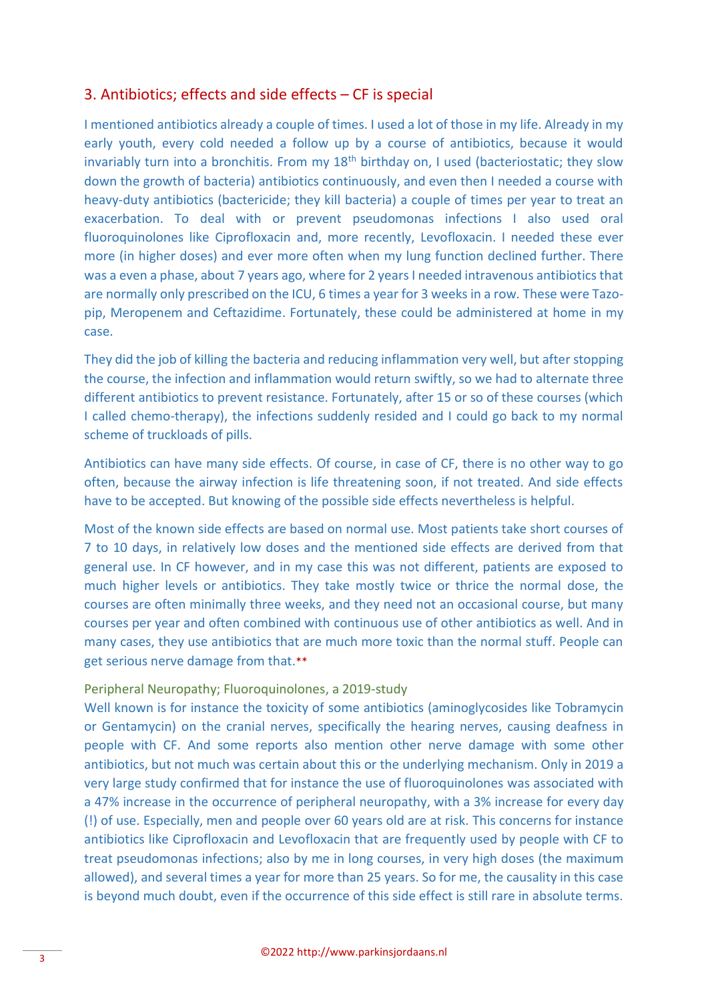## 3. Antibiotics; effects and side effects – CF is special

I mentioned antibiotics already a couple of times. I used a lot of those in my life. Already in my early youth, every cold needed a follow up by a course of antibiotics, because it would invariably turn into a bronchitis. From my  $18<sup>th</sup>$  birthday on, I used (bacteriostatic; they slow down the growth of bacteria) antibiotics continuously, and even then I needed a course with heavy-duty antibiotics (bactericide; they kill bacteria) a couple of times per year to treat an exacerbation. To deal with or prevent pseudomonas infections I also used oral fluoroquinolones like Ciprofloxacin and, more recently, Levofloxacin. I needed these ever more (in higher doses) and ever more often when my lung function declined further. There was a even a phase, about 7 years ago, where for 2 years I needed intravenous antibiotics that are normally only prescribed on the ICU, 6 times a year for 3 weeks in a row. These were Tazopip, Meropenem and Ceftazidime. Fortunately, these could be administered at home in my case.

They did the job of killing the bacteria and reducing inflammation very well, but after stopping the course, the infection and inflammation would return swiftly, so we had to alternate three different antibiotics to prevent resistance. Fortunately, after 15 or so of these courses (which I called chemo-therapy), the infections suddenly resided and I could go back to my normal scheme of truckloads of pills.

Antibiotics can have many side effects. Of course, in case of CF, there is no other way to go often, because the airway infection is life threatening soon, if not treated. And side effects have to be accepted. But knowing of the possible side effects nevertheless is helpful.

Most of the known side effects are based on normal use. Most patients take short courses of 7 to 10 days, in relatively low doses and the mentioned side effects are derived from that general use. In CF however, and in my case this was not different, patients are exposed to much higher levels or antibiotics. They take mostly twice or thrice the normal dose, the courses are often minimally three weeks, and they need not an occasional course, but many courses per year and often combined with continuous use of other antibiotics as well. And in many cases, they use antibiotics that are much more toxic than the normal stuff. People can get serious nerve damage from that.\*\*

#### Peripheral Neuropathy; Fluoroquinolones, a 2019-study

Well known is for instance the toxicity of some antibiotics (aminoglycosides like Tobramycin or Gentamycin) on the cranial nerves, specifically the hearing nerves, causing deafness in people with CF. And some reports also mention other nerve damage with some other antibiotics, but not much was certain about this or the underlying mechanism. Only in 2019 a very large study confirmed that for instance the use of fluoroquinolones was associated with a 47% increase in the occurrence of peripheral neuropathy, with a 3% increase for every day (!) of use. Especially, men and people over 60 years old are at risk. This concerns for instance antibiotics like Ciprofloxacin and Levofloxacin that are frequently used by people with CF to treat pseudomonas infections; also by me in long courses, in very high doses (the maximum allowed), and several times a year for more than 25 years. So for me, the causality in this case is beyond much doubt, even if the occurrence of this side effect is still rare in absolute terms.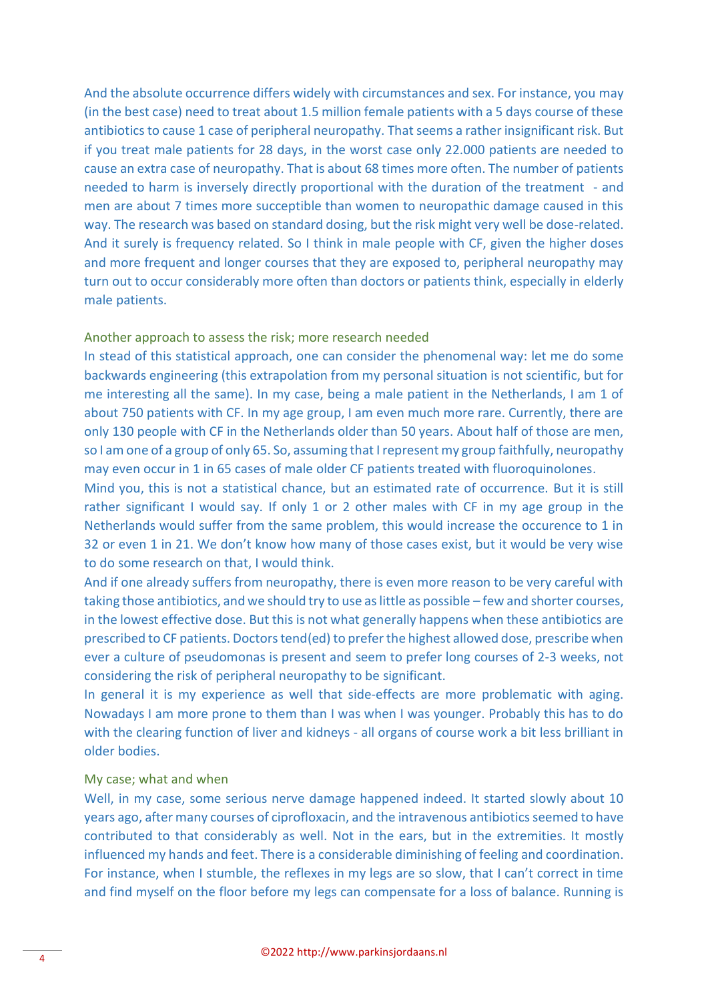And the absolute occurrence differs widely with circumstances and sex. For instance, you may (in the best case) need to treat about 1.5 million female patients with a 5 days course of these antibiotics to cause 1 case of peripheral neuropathy. That seems a rather insignificant risk. But if you treat male patients for 28 days, in the worst case only 22.000 patients are needed to cause an extra case of neuropathy. That is about 68 times more often. The number of patients needed to harm is inversely directly proportional with the duration of the treatment - and men are about 7 times more succeptible than women to neuropathic damage caused in this way. The research was based on standard dosing, but the risk might very well be dose-related. And it surely is frequency related. So I think in male people with CF, given the higher doses and more frequent and longer courses that they are exposed to, peripheral neuropathy may turn out to occur considerably more often than doctors or patients think, especially in elderly male patients.

#### Another approach to assess the risk; more research needed

In stead of this statistical approach, one can consider the phenomenal way: let me do some backwards engineering (this extrapolation from my personal situation is not scientific, but for me interesting all the same). In my case, being a male patient in the Netherlands, I am 1 of about 750 patients with CF. In my age group, I am even much more rare. Currently, there are only 130 people with CF in the Netherlands older than 50 years. About half of those are men, so I am one of a group of only 65. So, assuming that I represent my group faithfully, neuropathy may even occur in 1 in 65 cases of male older CF patients treated with fluoroquinolones.

Mind you, this is not a statistical chance, but an estimated rate of occurrence. But it is still rather significant I would say. If only 1 or 2 other males with CF in my age group in the Netherlands would suffer from the same problem, this would increase the occurence to 1 in 32 or even 1 in 21. We don't know how many of those cases exist, but it would be very wise to do some research on that, I would think.

And if one already suffers from neuropathy, there is even more reason to be very careful with taking those antibiotics, and we should try to use as little as possible – few and shorter courses, in the lowest effective dose. But this is not what generally happens when these antibiotics are prescribed to CF patients. Doctors tend(ed) to prefer the highest allowed dose, prescribe when ever a culture of pseudomonas is present and seem to prefer long courses of 2-3 weeks, not considering the risk of peripheral neuropathy to be significant.

In general it is my experience as well that side-effects are more problematic with aging. Nowadays I am more prone to them than I was when I was younger. Probably this has to do with the clearing function of liver and kidneys - all organs of course work a bit less brilliant in older bodies.

#### My case; what and when

Well, in my case, some serious nerve damage happened indeed. It started slowly about 10 years ago, after many courses of ciprofloxacin, and the intravenous antibiotics seemed to have contributed to that considerably as well. Not in the ears, but in the extremities. It mostly influenced my hands and feet. There is a considerable diminishing of feeling and coordination. For instance, when I stumble, the reflexes in my legs are so slow, that I can't correct in time and find myself on the floor before my legs can compensate for a loss of balance. Running is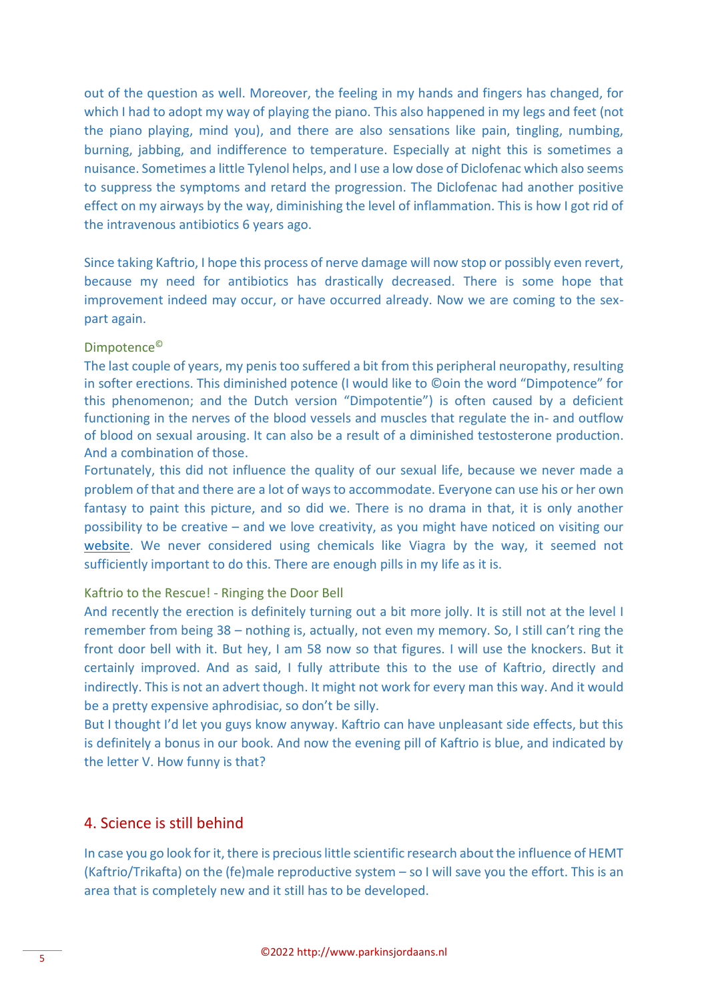out of the question as well. Moreover, the feeling in my hands and fingers has changed, for which I had to adopt my way of playing the piano. This also happened in my legs and feet (not the piano playing, mind you), and there are also sensations like pain, tingling, numbing, burning, jabbing, and indifference to temperature. Especially at night this is sometimes a nuisance. Sometimes a little Tylenol helps, and I use a low dose of Diclofenac which also seems to suppress the symptoms and retard the progression. The Diclofenac had another positive effect on my airways by the way, diminishing the level of inflammation. This is how I got rid of the intravenous antibiotics 6 years ago.

Since taking Kaftrio, I hope this process of nerve damage will now stop or possibly even revert, because my need for antibiotics has drastically decreased. There is some hope that improvement indeed may occur, or have occurred already. Now we are coming to the sexpart again.

#### Dimpotence©

The last couple of years, my penis too suffered a bit from this peripheral neuropathy, resulting in softer erections. This diminished potence (I would like to ©oin the word "Dimpotence" for this phenomenon; and the Dutch version "Dimpotentie") is often caused by a deficient functioning in the nerves of the blood vessels and muscles that regulate the in- and outflow of blood on sexual arousing. It can also be a result of a diminished testosterone production. And a combination of those.

Fortunately, this did not influence the quality of our sexual life, because we never made a problem of that and there are a lot of ways to accommodate. Everyone can use his or her own fantasy to paint this picture, and so did we. There is no drama in that, it is only another possibility to be creative – and we love creativity, as you might have noticed on visiting our [website.](http://www.parkinsjordaans.nl/) We never considered using chemicals like Viagra by the way, it seemed not sufficiently important to do this. There are enough pills in my life as it is.

#### Kaftrio to the Rescue! - Ringing the Door Bell

And recently the erection is definitely turning out a bit more jolly. It is still not at the level I remember from being 38 – nothing is, actually, not even my memory. So, I still can't ring the front door bell with it. But hey, I am 58 now so that figures. I will use the knockers. But it certainly improved. And as said, I fully attribute this to the use of Kaftrio, directly and indirectly. This is not an advert though. It might not work for every man this way. And it would be a pretty expensive aphrodisiac, so don't be silly.

But I thought I'd let you guys know anyway. Kaftrio can have unpleasant side effects, but this is definitely a bonus in our book. And now the evening pill of Kaftrio is blue, and indicated by the letter V. How funny is that?

#### 4. Science is still behind

In case you go look for it, there is precious little scientific research about the influence of HEMT (Kaftrio/Trikafta) on the (fe)male reproductive system – so I will save you the effort. This is an area that is completely new and it still has to be developed.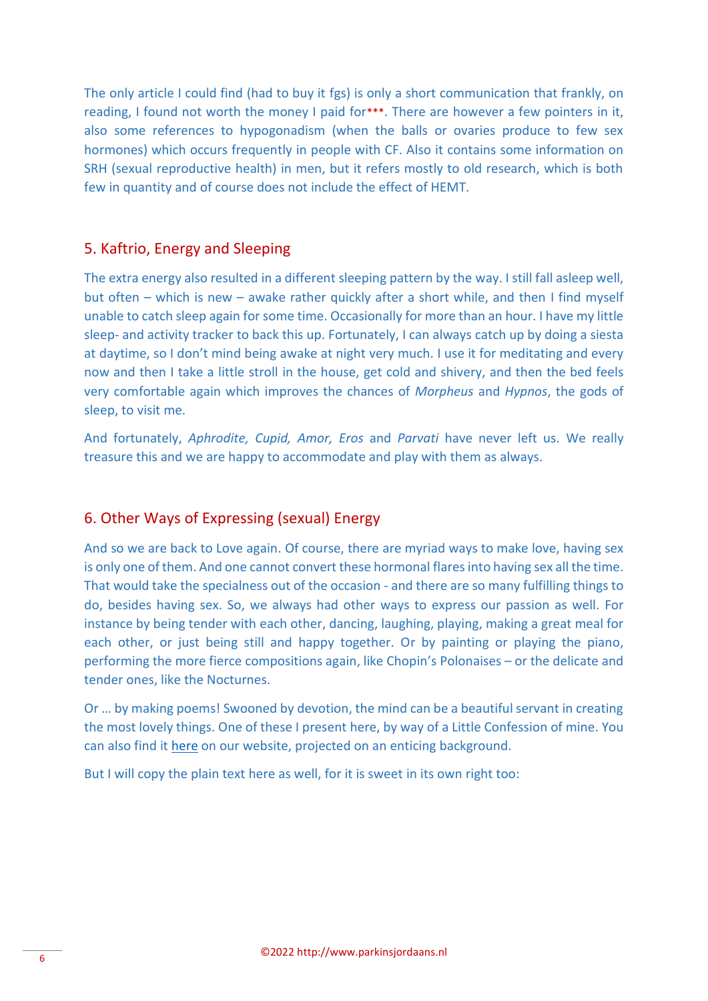The only article I could find (had to buy it fgs) is only a short communication that frankly, on reading, I found not worth the money I paid for\*\*\*. There are however a few pointers in it, also some references to hypogonadism (when the balls or ovaries produce to few sex hormones) which occurs frequently in people with CF. Also it contains some information on SRH (sexual reproductive health) in men, but it refers mostly to old research, which is both few in quantity and of course does not include the effect of HEMT.

## 5. Kaftrio, Energy and Sleeping

The extra energy also resulted in a different sleeping pattern by the way. I still fall asleep well, but often – which is new – awake rather quickly after a short while, and then I find myself unable to catch sleep again for some time. Occasionally for more than an hour. I have my little sleep- and activity tracker to back this up. Fortunately, I can always catch up by doing a siesta at daytime, so I don't mind being awake at night very much. I use it for meditating and every now and then I take a little stroll in the house, get cold and shivery, and then the bed feels very comfortable again which improves the chances of *Morpheus* and *Hypnos*, the gods of sleep, to visit me.

And fortunately, *Aphrodite, Cupid, Amor, Eros* and *Parvati* have never left us. We really treasure this and we are happy to accommodate and play with them as always.

#### 6. Other Ways of Expressing (sexual) Energy

And so we are back to Love again. Of course, there are myriad ways to make love, having sex is only one of them. And one cannot convert these hormonal flaresinto having sex all the time. That would take the specialness out of the occasion - and there are so many fulfilling things to do, besides having sex. So, we always had other ways to express our passion as well. For instance by being tender with each other, dancing, laughing, playing, making a great meal for each other, or just being still and happy together. Or by painting or playing the piano, performing the more fierce compositions again, like Chopin's Polonaises – or the delicate and tender ones, like the Nocturnes.

Or … by making poems! Swooned by devotion, the mind can be a beautiful servant in creating the most lovely things. One of these I present here, by way of a Little Confession of mine. You can also find it [here](http://www.parkinsjordaans.nl/media/poems/Little_Confession.pdf) on our website, projected on an enticing background.

But I will copy the plain text here as well, for it is sweet in its own right too: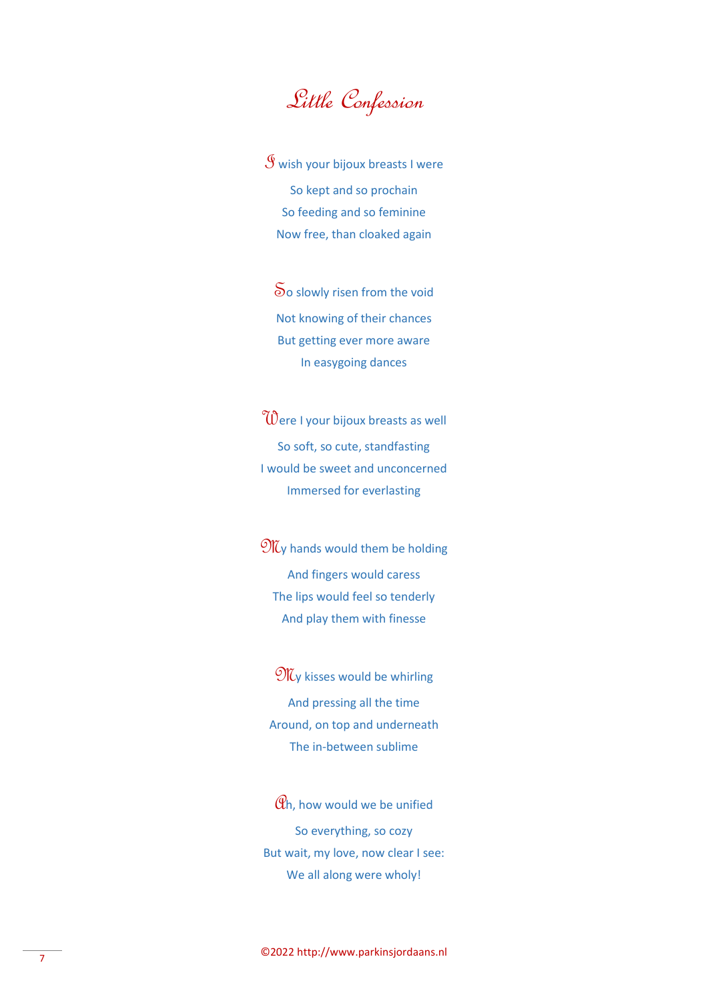# Little Confession

 $\mathcal S$  wish your bijoux breasts I were So kept and so prochain So feeding and so feminine Now free, than cloaked again

So slowly risen from the void Not knowing of their chances But getting ever more aware In easygoing dances

Were I your bijoux breasts as well So soft, so cute, standfasting I would be sweet and unconcerned Immersed for everlasting

 $\mathfrak{M}_{V}$  hands would them be holding And fingers would caress The lips would feel so tenderly And play them with finesse

**MG** kisses would be whirling And pressing all the time Around, on top and underneath The in-between sublime

 $\mathcal{C}_h$ , how would we be unified So everything, so cozy But wait, my love, now clear I see: We all along were wholy!

©2022 http://www.parkinsjordaans.nl <sup>7</sup>